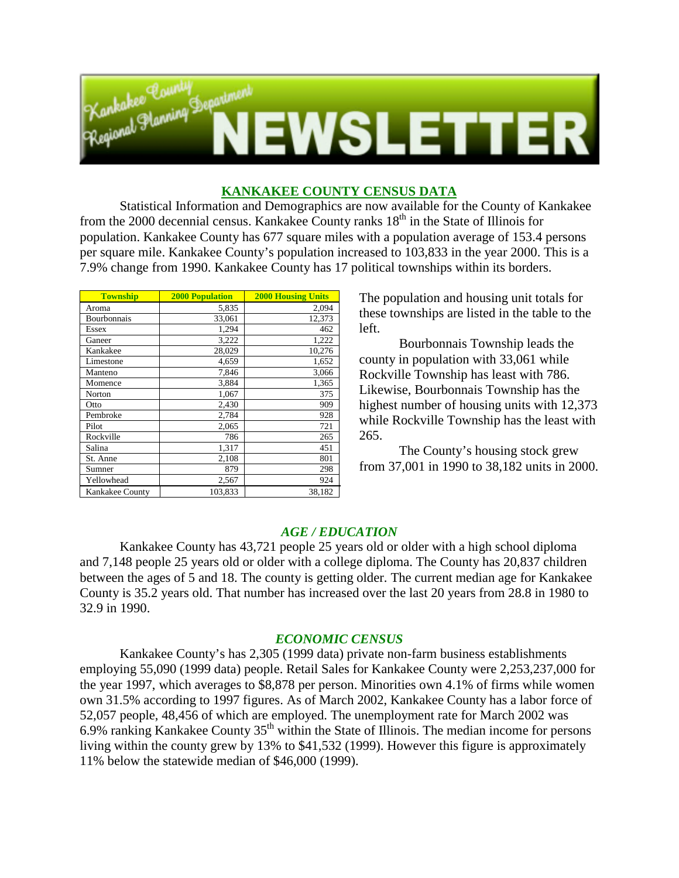

# **KANKAKEE COUNTY CENSUS DATA**

Statistical Information and Demographics are now available for the County of Kankakee from the 2000 decennial census. Kankakee County ranks  $18<sup>th</sup>$  in the State of Illinois for population. Kankakee County has 677 square miles with a population average of 153.4 persons per square mile. Kankakee County's population increased to 103,833 in the year 2000. This is a 7.9% change from 1990. Kankakee County has 17 political townships within its borders.

| <b>Township</b> | <b>2000 Population</b> | <b>2000 Housing Units</b> |
|-----------------|------------------------|---------------------------|
| Aroma           | 5,835                  | 2,094                     |
| Bourbonnais     | 33,061                 | 12,373                    |
| Essex           | 1,294                  | 462                       |
| Ganeer          | 3,222                  | 1,222                     |
| Kankakee        | 28,029                 | 10,276                    |
| Limestone       | 4,659                  | 1,652                     |
| Manteno         | 7,846                  | 3,066                     |
| Momence         | 3,884                  | 1,365                     |
| Norton          | 1,067                  | 375                       |
| Otto            | 2,430                  | 909                       |
| Pembroke        | 2,784                  | 928                       |
| Pilot           | 2,065                  | 721                       |
| Rockville       | 786                    | 265                       |
| Salina          | 1,317                  | 451                       |
| St. Anne        | 2,108                  | 801                       |
| Sumner          | 879                    | 298                       |
| Yellowhead      | 2,567                  | 924                       |
| Kankakee County | 103,833                | 38.182                    |

The population and housing unit totals for these townships are listed in the table to the left.

Bourbonnais Township leads the county in population with 33,061 while Rockville Township has least with 786. Likewise, Bourbonnais Township has the highest number of housing units with 12,373 while Rockville Township has the least with 265.

The County's housing stock grew from 37,001 in 1990 to 38,182 units in 2000.

# *AGE / EDUCATION*

Kankakee County has 43,721 people 25 years old or older with a high school diploma and 7,148 people 25 years old or older with a college diploma. The County has 20,837 children between the ages of 5 and 18. The county is getting older. The current median age for Kankakee County is 35.2 years old. That number has increased over the last 20 years from 28.8 in 1980 to 32.9 in 1990.

### *ECONOMIC CENSUS*

Kankakee County's has 2,305 (1999 data) private non-farm business establishments employing 55,090 (1999 data) people. Retail Sales for Kankakee County were 2,253,237,000 for the year 1997, which averages to \$8,878 per person. Minorities own 4.1% of firms while women own 31.5% according to 1997 figures. As of March 2002, Kankakee County has a labor force of 52,057 people, 48,456 of which are employed. The unemployment rate for March 2002 was 6.9% ranking Kankakee County  $35<sup>th</sup>$  within the State of Illinois. The median income for persons living within the county grew by 13% to \$41,532 (1999). However this figure is approximately 11% below the statewide median of \$46,000 (1999).